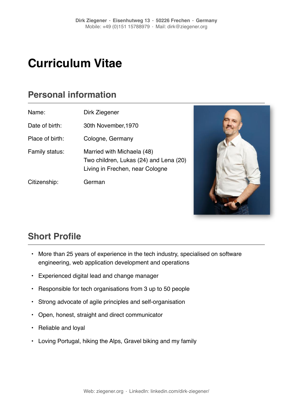# **Curriculum Vitae**

### **Personal information**

| Name:           | Dirk Ziegener                                                                                           |
|-----------------|---------------------------------------------------------------------------------------------------------|
| Date of birth:  | 30th November, 1970                                                                                     |
| Place of birth: | Cologne, Germany                                                                                        |
| Family status:  | Married with Michaela (48)<br>Two children, Lukas (24) and Lena (20)<br>Living in Frechen, near Cologne |
| Citizenship:    | German                                                                                                  |



## **Short Profile**

- More than 25 years of experience in the tech industry, specialised on software engineering, web application development and operations
- Experienced digital lead and change manager
- Responsible for tech organisations from 3 up to 50 people
- Strong advocate of agile principles and self-organisation
- Open, honest, straight and direct communicator
- Reliable and loyal
- Loving Portugal, hiking the Alps, Gravel biking and my family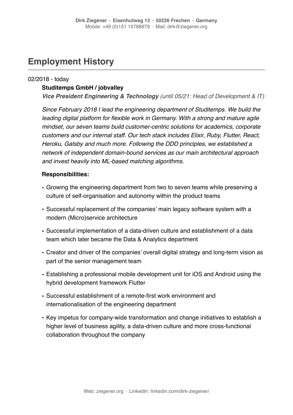### **Employment History**

### 02/2018 - today

### **Studitemps GmbH / jobvalley**

*Vice President Engineering & Technology (until 05/21: Head of Development & IT)* 

*Since February 2018 I lead the engineering department of Studitemps. We build the leading digital platform for flexible work in Germany. With a strong and mature agile mindset, our seven teams build customer-centric solutions for academics, corporate customers and our internal staff. Our tech stack includes Elixir, Ruby, Flutter, React, Heroku, Gatsby and much more. Following the DDD principles, we established a network of independent domain-bound services as our main architectural approach and invest heavily into ML-based matching algorithms.*

### **Responsibilities:**

- Growing the engineering department from two to seven teams while preserving a culture of self-organisation and autonomy within the product teams
- Successful replacement of the companies' main legacy software system with a modern (Micro)service architecture
- Successful implementation of a data-driven culture and establishment of a data team which later became the Data & Analytics department
- Creator and driver of the companies' overall digital strategy and long-term vision as part of the senior management team
- Establishing a professional mobile development unit for iOS and Android using the hybrid development framework Flutter
- Successful establishment of a remote-first work environment and internationalisation of the engineering department
- Key impetus for company-wide transformation and change initiatives to establish a higher level of business agility, a data-driven culture and more cross-functional collaboration throughout the company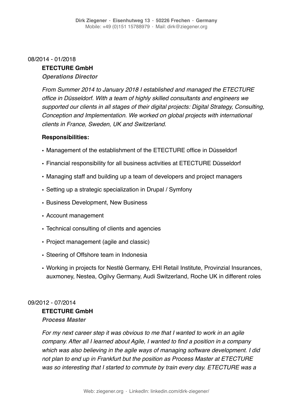### 08/2014 - 01/2018

### **ETECTURE GmbH**

### *Operations Director*

*From Summer 2014 to January 2018 I established and managed the ETECTURE office in Düsseldorf. With a team of highly skilled consultants and engineers we supported our clients in all stages of their digital projects: Digital Strategy, Consulting, Conception and Implementation. We worked on global projects with international clients in France, Sweden, UK and Switzerland.*

### **Responsibilities:**

- Management of the establishment of the ETECTURE office in Düsseldorf
- Financial responsibility for all business activities at ETECTURE Düsseldorf
- Managing staff and building up a team of developers and project managers
- Setting up a strategic specialization in Drupal / Symfony
- Business Development, New Business
- Account management
- Technical consulting of clients and agencies
- Project management (agile and classic)
- Steering of Offshore team in Indonesia
- Working in projects for Nestlé Germany, EHI Retail Institute, Provinzial Insurances, auxmoney, Nestea, Ogilvy Germany, Audi Switzerland, Roche UK in different roles

### 09/2012 - 07/2014

### **ETECTURE GmbH** *Process Master*

*For my next career step it was obvious to me that I wanted to work in an agile company. After all I learned about Agile, I wanted to find a position in a company which was also believing in the agile ways of managing software development. I did not plan to end up in Frankfurt but the position as Process Master at ETECTURE was so interesting that I started to commute by train every day. ETECTURE was a*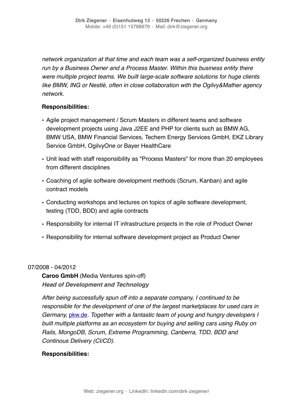*network organization at that time and each team was a self-organized business entity run by a Business Owner and a Process Master. Within this business entity there were multiple project teams. We built large-scale software solutions for huge clients like BMW, ING or Nestlé, often in close collaboration with the Ogilvy&Mather agency network.* 

### **Responsibilities:**

- Agile project management / Scrum Masters in different teams and software development projects using Java J2EE and PHP for clients such as BMW AG, BMW USA, BMW Financial Services, Techem Energy Services GmbH, EKZ Library Service GmbH, OgilvyOne or Bayer HealthCare
- Unit lead with staff responsibility as "Process Masters" for more than 20 employees from different disciplines
- Coaching of agile software development methods (Scrum, Kanban) and agile contract models
- Conducting workshops and lectures on topics of agile software development, testing (TDD, BDD) and agile contracts
- Responsibility for internal IT infrastructure projects in the role of Product Owner
- Responsibility for internal software development project as Product Owner

### 07/2008 - 04/2012

**Caroo GmbH** (Media Ventures spin-off) *Head of Development and Technology*

*After being successfully spun off into a separate company, I continued to be responsible for the development of one of the largest marketplaces for used cars in Germany,* [pkw.de](http://pkw.de)*. Together with a fantastic team of young and hungry developers I built multiple platforms as an ecosystem for buying and selling cars using Ruby on Rails, MongoDB, Scrum, Extreme Programming, Canberra, TDD, BDD and Continous Delivery (CI/CD).*

### **Responsibilities:**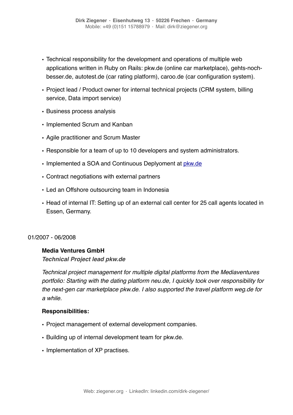- Technical responsibility for the development and operations of multiple web applications written in Ruby on Rails: pkw.de (online car marketplace), gehts-nochbesser.de, autotest.de (car rating platform), caroo.de (car configuration system).
- Project lead / Product owner for internal technical projects (CRM system, billing service, Data import service)
- Business process analysis
- Implemented Scrum and Kanban
- Agile practitioner and Scrum Master
- Responsible for a team of up to 10 developers and system administrators.
- Implemented a SOA and Continuous Deplyoment at [pkw.de](http://pkw.de)
- Contract negotiations with external partners
- Led an Offshore outsourcing team in Indonesia
- Head of internal IT: Setting up of an external call center for 25 call agents located in Essen, Germany.

#### 01/2007 - 06/2008

### **Media Ventures GmbH**

*Technical Project lead pkw.de*

*Technical project management for multiple digital platforms from the Mediaventures portfolio: Starting with the dating platform neu.de, I quickly took over responsibility for the next-gen car marketplace pkw.de. I also supported the travel platform weg.de for a while.*

### **Responsibilities:**

- Project management of external development companies.
- Building up of internal development team for pkw.de.
- Implementation of XP practises.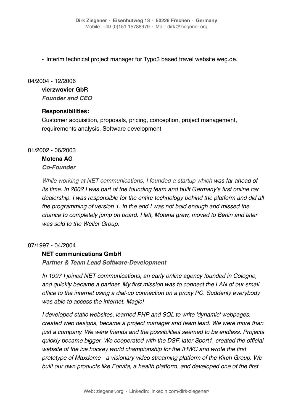• Interim technical project manager for Typo3 based travel website weg.de.

### 04/2004 - 12/2006

### **vierzwovier GbR**

*Founder and CEO*

### **Responsibilities:**

Customer acquisition, proposals, pricing, conception, project management, requirements analysis, Software development

### 01/2002 - 06/2003

### **Motena AG**

### *Co-Founder*

*While working at NET communications, I founded a startup which was far ahead of its time. In 2002 I was part of the founding team and built Germany's first online car dealership. I was responsible for the entire technology behind the platform and did all the programming of version 1. In the end I was not bold enough and missed the chance to completely jump on board. I left, Motena grew, moved to Berlin and later was sold to the Weller Group.* 

### 07/1997 - 04/2004

### **NET communications GmbH**

*Partner & Team Lead Software-Development*

*In 1997 I joined NET communications, an early online agency founded in Cologne,*  and quickly became a partner. My first mission was to connect the LAN of our small *office to the internet using a dial-up connection on a proxy PC. Suddenly everybody was able to access the internet. Magic!* 

*I developed static websites, learned PHP and SQL to write 'dynamic' webpages, created web designs, became a project manager and team lead. We were more than just a company. We were friends and the possibilities seemed to be endless. Projects quickly became bigger. We cooperated with the DSF, later Sport1, created the official website of the ice hockey world championship for the IHWC and wrote the first prototype of Maxdome - a visionary video streaming platform of the Kirch Group. We built our own products like Forvita, a health platform, and developed one of the first*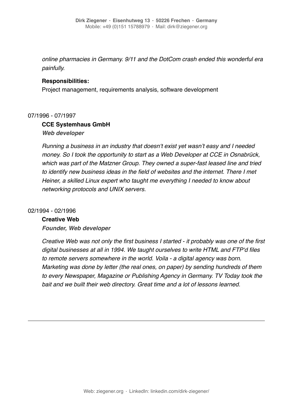*online pharmacies in Germany. 9/11 and the DotCom crash ended this wonderful era painfully.* 

### **Responsibilities:**

Project management, requirements analysis, software development

#### 07/1996 - 07/1997

### **CCE Systemhaus GmbH**

*Web developer*

*Running a business in an industry that doesn't exist yet wasn't easy and I needed money. So I took the opportunity to start as a Web Developer at CCE in Osnabrück, which was part of the Matzner Group. They owned a super-fast leased line and tried to identify new business ideas in the field of websites and the internet. There I met Heiner, a skilled Linux expert who taught me everything I needed to know about networking protocols and UNIX servers.*

#### 02/1994 - 02/1996

#### **Creative Web**

*Founder, Web developer*

*Creative Web was not only the first business I started - it probably was one of the first digital businesses at all in 1994. We taught ourselves to write HTML and FTP'd files to remote servers somewhere in the world. Voila - a digital agency was born. Marketing was done by letter (the real ones, on paper) by sending hundreds of them to every Newspaper, Magazine or Publishing Agency in Germany. TV Today took the bait and we built their web directory. Great time and a lot of lessons learned.*